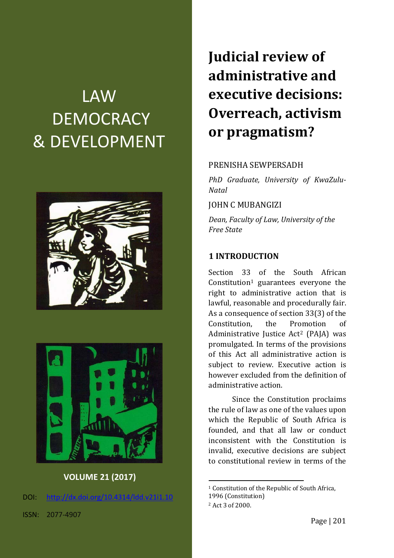# LAW **DEMOCRACY** & DEVELOPMENT





# **VOLUME 21 (2017)**

<span id="page-0-0"></span>DOI: [http://dx.doi.org/10.4314/ldd.v21i1.1](http://dx.doi.org/10.4314/ldd.v21i1.)0

<span id="page-0-1"></span>ISSN: 2077-4907

# **Judicial review of administrative and executive decisions: Overreach, activism or pragmatism?**

#### PRENISHA SEWPERSADH

*PhD Graduate, University of KwaZulu-Natal*

#### JOHN C MUBANGIZI

*Dean, Faculty of Law, University of the Free State*

#### **1 INTRODUCTION**

Section 33 of the South African Constitution<sup>[1](#page-0-0)</sup> guarantees everyone the right to administrative action that is lawful, reasonable and procedurally fair. As a consequence of section 33(3) of the<br>Constitution. the Promotion of Constitution, the Promotion of Administrative Justice Act[2](#page-0-1) (PAJA) was promulgated. In terms of the provisions of this Act all administrative action is subject to review. Executive action is however excluded from the definition of administrative action.

Since the Constitution proclaims the rule of law as one of the values upon which the Republic of South Africa is founded, and that all law or conduct inconsistent with the Constitution is invalid, executive decisions are subject to constitutional review in terms of the

<sup>&</sup>lt;sup>1</sup> Constitution of the Republic of South Africa,

<sup>1996 (</sup>Constitution) <sup>2</sup> Act 3 of 2000.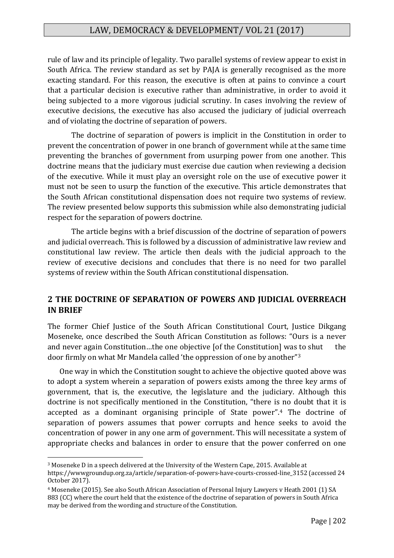rule of law and its principle of legality. Two parallel systems of review appear to exist in South Africa. The review standard as set by PAJA is generally recognised as the more exacting standard. For this reason, the executive is often at pains to convince a court that a particular decision is executive rather than administrative, in order to avoid it being subjected to a more vigorous judicial scrutiny. In cases involving the review of executive decisions, the executive has also accused the judiciary of judicial overreach and of violating the doctrine of separation of powers.

The doctrine of separation of powers is implicit in the Constitution in order to prevent the concentration of power in one branch of government while at the same time preventing the branches of government from usurping power from one another. This doctrine means that the judiciary must exercise due caution when reviewing a decision of the executive. While it must play an oversight role on the use of executive power it must not be seen to usurp the function of the executive. This article demonstrates that the South African constitutional dispensation does not require two systems of review. The review presented below supports this submission while also demonstrating judicial respect for the separation of powers doctrine.

The article begins with a brief discussion of the doctrine of separation of powers and judicial overreach. This is followed by a discussion of administrative law review and constitutional law review. The article then deals with the judicial approach to the review of executive decisions and concludes that there is no need for two parallel systems of review within the South African constitutional dispensation.

# **2 THE DOCTRINE OF SEPARATION OF POWERS AND JUDICIAL OVERREACH IN BRIEF**

The former Chief Justice of the South African Constitutional Court, Justice Dikgang Moseneke, once described the South African Constitution as follows: "Ours is a never and never again Constitution...the one objective [of the Constitution] was to shut the door firmly on what Mr Mandela called 'the oppression of one by another"[3](#page-1-0)

One way in which the Constitution sought to achieve the objective quoted above was to adopt a system wherein a separation of powers exists among the three key arms of government, that is, the executive, the legislature and the judiciary. Although this doctrine is not specifically mentioned in the Constitution, "there i[s](#page-1-1) no doubt that it is accepted as a dominant organising principle of State power". <sup>4</sup> The doctrine of separation of powers assumes that power corrupts and hence seeks to avoid the concentration of power in any one arm of government. This will necessitate a system of appropriate checks and balances in order to ensure that the power conferred on one

<span id="page-1-0"></span><sup>3</sup> Moseneke D in a speech delivered at the University of the Western Cape, 2015. Available at

https://wwwgroundup.org.za/article/separation-of-powers-have-courts-crossed-line\_3152 (accessed 24 October 2017).

<span id="page-1-1"></span><sup>4</sup> Moseneke (2015). See also South African Association of Personal Injury Lawyers v Heath 2001 (1) SA 883 (CC) where the court held that the existence of the doctrine of separation of powers in South Africa may be derived from the wording and structure of the Constitution.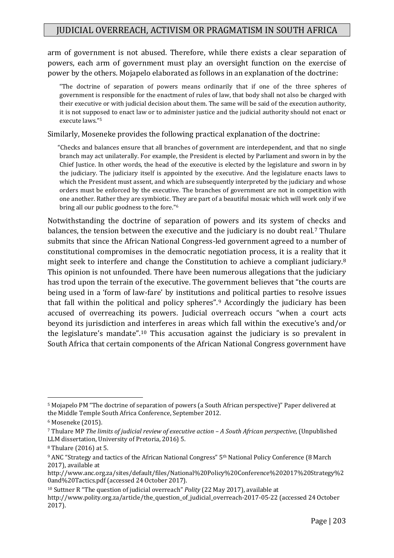arm of government is not abused. Therefore, while there exists a clear separation of powers, each arm of government must play an oversight function on the exercise of power by the others. Mojapelo elaborated as follows in an explanation of the doctrine:

"The doctrine of separation of powers means ordinarily that if one of the three spheres of government is responsible for the enactment of rules of law, that body shall not also be charged with their executive or with judicial decision about them. The same will be said of the execution authority, it is not supp[os](#page-2-0)ed to enact law or to administer justice and the judicial authority should not enact or execute laws."5

Similarly, Moseneke provides the following practical explanation of the doctrine:

 "Checks and balances ensure that all branches of government are interdependent, and that no single branch may act unilaterally. For example, the President is elected by Parliament and sworn in by the Chief Justice. In other words, the head of the executive is elected by the legislature and sworn in by the judiciary. The judiciary itself is appointed by the executive. And the legislature enacts laws to which the President must assent, and which are subsequently interpreted by the judiciary and whose orders must be enforced by the executive. The branches of government are not in competition with one another. Rather they are symbiotic. They are part of a beautiful mosaic which will work only if we bring all our public goodness to the fore."[6](#page-2-1)

Notwithstanding the doctrine of separation of powers and its system of checks and balances, the tension between the executive and the judiciary is no doubt real.<sup>[7](#page-2-2)</sup> Thulare submits that since the African National Congress-led government agreed to a number of constitutional compromises in the democratic negotiation process, it is a reality that it might seek to interfere and change the Constitution to achieve a compliant judiciary.[8](#page-2-3) This opinion is not unfounded. There have been numerous allegations that the judiciary has trod upon the terrain of the executive. The government believes that "the courts are being used in a 'form of law-fare' by institutions [an](#page-2-4)d political parties to resolve issues that fall within the political and policy spheres". <sup>9</sup> Accordingly the judiciary has been accused of overreaching its powers. Judicial overreach occurs "when a court acts beyond its jurisdiction and [in](#page-2-5)terferes in areas which fall within the executive's and/or the legislature's mandate".<sup>10</sup> This accusation against the judiciary is so prevalent in South Africa that certain components of the African National Congress government have

<span id="page-2-0"></span><sup>5</sup> Mojapelo PM "The doctrine of separation of powers (a South African perspective)" Paper delivered at the Middle Temple South Africa Conference, September 2012. -

<span id="page-2-1"></span><sup>6</sup> Moseneke (2015).

<span id="page-2-2"></span><sup>7</sup> Thulare MP *The limits of judicial review of executive action – A South African perspective*, (Unpublished LLM dissertation, University of Pretoria, 2016) 5.

<span id="page-2-3"></span><sup>8</sup> Thulare (2016) at 5.

<span id="page-2-4"></span><sup>9</sup> ANC "Strategy and tactics of the African National Congress" 5th National Policy Conference (8 March 2017), available at

http://www.anc.org.za/sites/default/files/National%20Policy%20Conference%202017%20Strategy%2 0and%20Tactics.pdf (accessed 24 October 2017).

<span id="page-2-5"></span><sup>10</sup> Suttner R "The question of judicial overreach" *Polity* (22 May 2017), available at

http://www.polity.org.za/article/the\_question\_of\_judicial\_overreach-2017-05-22 (accessed 24 October 2017).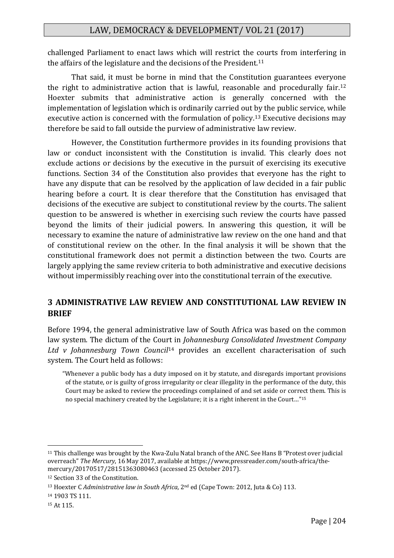challenged Parliament to enact laws which will restrict the courts from interfering in the affairs of the legislature and the decisions of the President.[11](#page-3-0)

That said, it must be borne in mind that the Constitution guarantees everyone the right to administrative action that is lawful, reasonable and procedurally fair.[12](#page-3-1) Hoexter submits that administrative action is generally concerned with the implementation of legislation which is ordinarily carried out by the public service, while executive action is concerned with the formulation of policy.[13](#page-3-2) Executive decisions may therefore be said to fall outside the purview of administrative law review.

However, the Constitution furthermore provides in its founding provisions that law or conduct inconsistent with the Constitution is invalid. This clearly does not exclude actions or decisions by the executive in the pursuit of exercising its executive functions. Section 34 of the Constitution also provides that everyone has the right to have any dispute that can be resolved by the application of law decided in a fair public hearing before a court. It is clear therefore that the Constitution has envisaged that decisions of the executive are subject to constitutional review by the courts. The salient question to be answered is whether in exercising such review the courts have passed beyond the limits of their judicial powers. In answering this question, it will be necessary to examine the nature of administrative law review on the one hand and that of constitutional review on the other. In the final analysis it will be shown that the constitutional framework does not permit a distinction between the two. Courts are largely applying the same review criteria to both administrative and executive decisions without impermissibly reaching over into the constitutional terrain of the executive.

# **3 ADMINISTRATIVE LAW REVIEW AND CONSTITUTIONAL LAW REVIEW IN BRIEF**

Before 1994, the general administrative law of South Africa was based on the common law system. The dictum of the Cou[rt i](#page-3-3)n *Johannesburg Consolidated Investment Company Ltd v Johannesburg Town Council*<sup>14</sup> provides an excellent characterisation of such system. The Court held as follows:

"Whenever a public body has a duty imposed on it by statute, and disregards important provisions of the statute, or is guilty of gross irregularity or clear illegality in the performance of the duty, this Court may be asked to review the proceedings complained of and set aside or correct them. This is no special machinery created by the Legislature; it is a right inherent in the Court…"[15](#page-3-4)

<span id="page-3-0"></span><sup>11</sup> This challenge was brought by the Kwa-Zulu Natal branch of the ANC. See Hans B "Protest over judicial overreach" *The Mercury*, 16 May 2017, available at https://www,pressreader.com/south-africa/themercury/20170517/28151363080463 (accessed 25 October 2017).

<span id="page-3-1"></span><sup>12</sup> Section 33 of the Constitution.

<span id="page-3-2"></span><sup>13</sup> Hoexter C *Administrative law in South Africa*, 2nd ed (Cape Town: 2012, Juta & Co) 113.

<span id="page-3-3"></span><sup>14</sup> 1903 TS 111.

<span id="page-3-4"></span><sup>15</sup> At 115.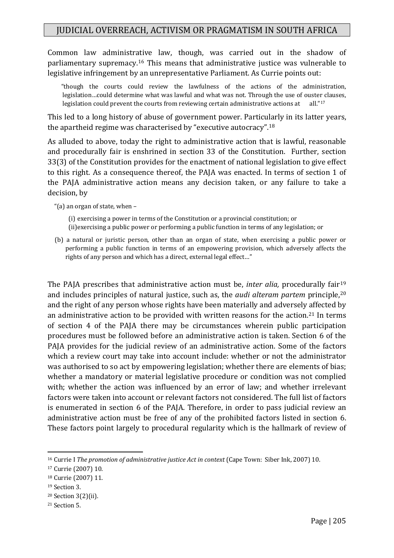Common law administrative law, though, was carried out in the shadow of parliamentary supremacy.[16](#page-4-0) This means that administrative justice was vulnerable to legislative infringement by an unrepresentative Parliament. As Currie points out:

 "though the courts could review the lawfulness of the actions of the administration, legislation…could determine what was lawful and what was not. Through the use of ouster clauses, legislation could prevent the courts from reviewing certain administrative actions at all."[17](#page-4-1)

This led to a long history of abuse of government power. Particularly in its latter years, the apartheid regime was characterised by "executive autocracy".[18](#page-4-2)

As alluded to above, today the right to administrative action that is lawful, reasonable and procedurally fair is enshrined in section 33 of the Constitution. Further, section 33(3) of the Constitution provides for the enactment of national legislation to give effect to this right. As a consequence thereof, the PAJA was enacted. In terms of section 1 of the PAJA administrative action means any decision taken, or any failure to take a decision, by

- "(a) an organ of state, when
	- (i) exercising a power in terms of the Constitution or a provincial constitution; or
	- (ii)exercising a public power or performing a public function in terms of any legislation; or
- (b) a natural or juristic person, other than an organ of state, when exercising a public power or performing a public function in terms of an empowering provision, which adversely affects the rights of any person and which has a direct, external legal effect…"

The PAJA prescribes that administrative action must be, *inter alia*, procedurally fair<sup>19</sup> and includes principles of natural justice, such as, the *audi alteram partem* principle, 20 and the right of any person whose rights have been materially and adversely affected by an administrative action to be provided with written reasons for the action.<sup>[21](#page-4-5)</sup> In terms of section 4 of the PAJA there may be circumstances wherein public participation procedures must be followed before an administrative action is taken. Section 6 of the PAJA provides for the judicial review of an administrative action. Some of the factors which a review court may take into account include: whether or not the administrator was authorised to so act by empowering legislation; whether there are elements of bias; whether a mandatory or material legislative procedure or condition was not complied with; whether the action was influenced by an error of law; and whether irrelevant factors were taken into account or relevant factors not considered. The full list of factors is enumerated in section 6 of the PAJA. Therefore, in order to pass judicial review an administrative action must be free of any of the prohibited factors listed in section 6. These factors point largely to procedural regularity which is the hallmark of review of

<span id="page-4-0"></span><sup>16</sup> Currie I *The promotion of administrative justice Act in context* (Cape Town: Siber Ink, 2007) 10.

<span id="page-4-1"></span><sup>17</sup> Currie (2007) 10.

<span id="page-4-2"></span><sup>18</sup> Currie (2007) 11.

<span id="page-4-3"></span><sup>19</sup> Section 3.

<span id="page-4-4"></span><sup>20</sup> Section 3(2)(ii).

<span id="page-4-5"></span><sup>21</sup> Section 5.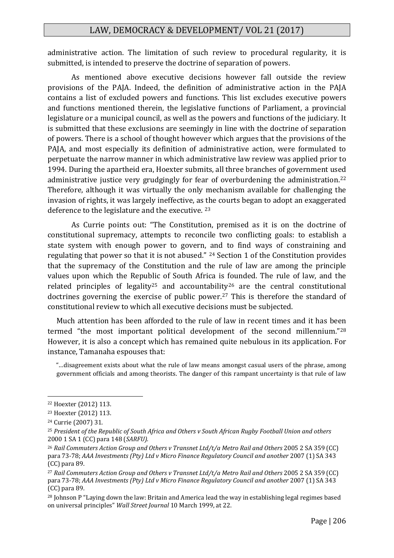administrative action. The limitation of such review to procedural regularity, it is submitted, is intended to preserve the doctrine of separation of powers.

As mentioned above executive decisions however fall outside the review provisions of the PAJA. Indeed, the definition of administrative action in the PAJA contains a list of excluded powers and functions. This list excludes executive powers and functions mentioned therein, the legislative functions of Parliament, a provincial legislature or a municipal council, as well as the powers and functions of the judiciary. It is submitted that these exclusions are seemingly in line with the doctrine of separation of powers. There is a school of thought however which argues that the provisions of the PAJA, and most especially its definition of administrative action, were formulated to perpetuate the narrow manner in which administrative law review was applied prior to 1994. During the apartheid era, Hoexter submits, all three branches of government used administrative justice very grudgingly for fear of overburdening the administration.<sup>[22](#page-5-0)</sup> Therefore, although it was virtually the only mechanism available for challenging the invasion of rights, it was largely ineffective, as the courts began to adopt an exaggerated deference to the legislature and the executive. [23](#page-5-1)

As Currie points out: "The Constitution, premised as it is on the doctrine of constitutional supremacy, attempts to reconcile two conflicting goals: to establish a state system with enough power to govern, and to find ways of constraining and regulating that power so that it is not abused." [24](#page-5-2) Section 1 of the Constitution provides that the supremacy of the Constitution and the rule of law are among the principle values upon which the Republic of South Africa is founded. The rule of law, and the related principles of legality<sup>[25](#page-5-3)</sup> and accountabili[ty](#page-5-5)<sup>[26](#page-5-4)</sup> are the central constitutional doctrines governing the exercise of public power.27 This is therefore the standard of constitutional review to which all executive decisions must be subjected.

Much attention has been afforded to the rule of law in recent times and it has been termed "the most important political development of the second millennium."[28](#page-5-6) However, it is also a concept which has remained quite nebulous in its application. For instance, Tamanaha espouses that:

 "…disagreement exists about what the rule of law means amongst casual users of the phrase, among government officials and among theorists. The danger of this rampant uncertainty is that rule of law

<span id="page-5-0"></span><sup>22</sup> Hoexter (2012) 113.

<span id="page-5-1"></span><sup>23</sup> Hoexter (2012) 113.

<span id="page-5-2"></span><sup>24</sup> Currie (2007) 31.

<span id="page-5-3"></span><sup>25</sup> *President of the Republic of South Africa and Others v South African Rugby Football Union and others*  2000 1 SA 1 (CC) para 148 (*SARFU).*

<span id="page-5-4"></span><sup>&</sup>lt;sup>26</sup> Rail Commuters Action Group and Others v Transnet Ltd/t/a Metro Rail and Others 2005 2 SA 359 (CC) para 73-78; *AAA Investments (Pty) Ltd v Micro Finance Regulatory Council and another* 2007 (1) SA 343 (CC) para 89.

<span id="page-5-5"></span><sup>27</sup> *Rail Commuters Action Group and Others v Transnet Ltd/t/a Metro Rail and Others* 2005 2 SA 359 (CC) para 73-78; *AAA Investments (Pty) Ltd v Micro Finance Regulatory Council and another* 2007 (1) SA 343 (CC) para 89.

<span id="page-5-6"></span><sup>28</sup> Johnson P "Laying down the law: Britain and America lead the way in establishing legal regimes based on universal principles" *Wall Street Journal* 10 March 1999, at 22.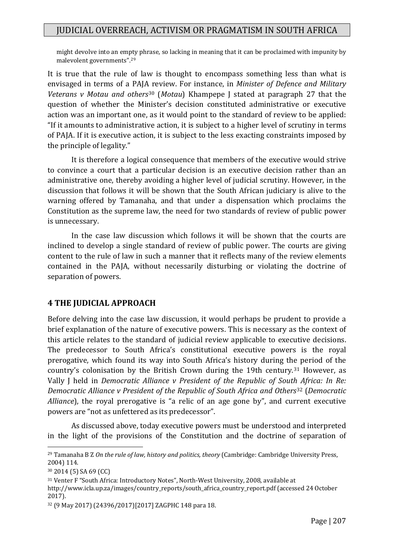might devolve into an empty phrase, so lacking in meaning that it can be proclaimed with impunity by malevolent governments".[29](#page-6-0)

It is true that the rule of law is thought to encompass something less than what is envisaged in terms of a PAJ[A r](#page-6-1)eview. For instance, in *Minister of Defence and Military Veterans v Motau and others*<sup>30</sup> (*Motau*) Khampepe J stated at paragraph 27 that the question of whether the Minister's decision constituted administrative or executive action was an important one, as it would point to the standard of review to be applied: "If it amounts to administrative action, it is subject to a higher level of scrutiny in terms of PAJA. If it is executive action, it is subject to the less exacting constraints imposed by the principle of legality."

It is therefore a logical consequence that members of the executive would strive to convince a court that a particular decision is an executive decision rather than an administrative one, thereby avoiding a higher level of judicial scrutiny. However, in the discussion that follows it will be shown that the South African judiciary is alive to the warning offered by Tamanaha, and that under a dispensation which proclaims the Constitution as the supreme law, the need for two standards of review of public power is unnecessary.

In the case law discussion which follows it will be shown that the courts are inclined to develop a single standard of review of public power. The courts are giving content to the rule of law in such a manner that it reflects many of the review elements contained in the PAJA, without necessarily disturbing or violating the doctrine of separation of powers.

#### **4 THE JUDICIAL APPROACH**

Before delving into the case law discussion, it would perhaps be prudent to provide a brief explanation of the nature of executive powers. This is necessary as the context of this article relates to the standard of judicial review applicable to executive decisions. The predecessor to South Africa's constitutional executive powers is the royal prerogative, which found its way into South Africa's history during the period of the country's colonisation by the British Crown during the 19th century.<sup>[31](#page-6-2)</sup> However, as Vally J held in *Democratic Alliance v President of the Republic of Sout[h A](#page-6-3)frica: In Re: Democratic Alliance v President of the Republic of South Africa and Others*<sup>32</sup> (*Democratic Alliance*), the royal prerogative is "a relic of an age gone by", and current executive powers are "not as unfettered as its predecessor".

As discussed above, today executive powers must be understood and interpreted in the light of the provisions of the Constitution and the doctrine of separation of

<span id="page-6-0"></span><sup>29</sup> Tamanaha B Z *On the rule of law, history and politics, theory* (Cambridge: Cambridge University Press, 2004) 114.

<span id="page-6-1"></span><sup>30</sup> 2014 (5) SA 69 (CC)

<span id="page-6-2"></span><sup>31</sup> Venter F "South Africa: Introductory Notes", North-West University, 2008, available at

http://www.icla.up.za/images/country\_reports/south\_africa\_country\_report.pdf (accessed 24 October 2017).

<span id="page-6-3"></span><sup>32</sup> (9 May 2017) (24396/2017)[2017] ZAGPHC 148 para 18.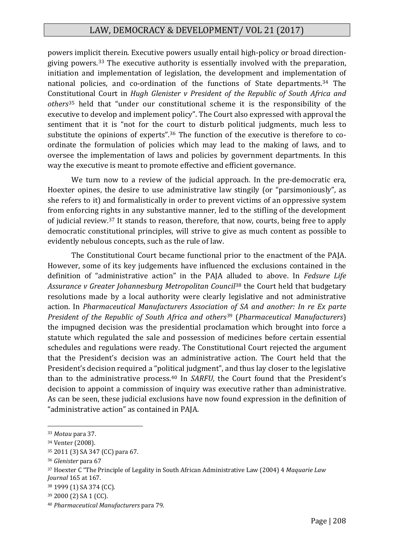powers implicit therein. Executive powers usually entail high-policy or broad directiongiving powers.[33](#page-7-0) The executive authority is essentially involved with the preparation, initiation and implementation of legislation, the development and implementation of national policies, and co-ordination of the functions of State departments.[34](#page-7-1) The Const[itu](#page-7-2)tional Court in *Hugh Glenister v President of the Republic of South Africa and others*<sup>35</sup> held that "under our constitutional scheme it is the responsibility of the executive to develop and implement policy". The Court also expressed with approval the sentiment that it is "not for the court to disturb political judgments, much less to substitute the opinions of experts".[36](#page-7-3) The function of the executive is therefore to coordinate the formulation of policies which may lead to the making of laws, and to oversee the implementation of laws and policies by government departments. In this way the executive is meant to promote effective and efficient governance.

We turn now to a review of the judicial approach. In the pre-democratic era, Hoexter opines, the desire to use administrative law stingily (or "parsimoniously", as she refers to it) and formalistically in order to prevent victims of an oppressive system from enforcing rights in any substantive manner, led to the stifling of the development of judicial review.[37](#page-7-4) It stands to reason, therefore, that now, courts, being free to apply democratic constitutional principles, will strive to give as much content as possible to evidently nebulous concepts, such as the rule of law.

The Constitutional Court became functional prior to the enactment of the PAJA. However, some of its key judgements have influenced the exclusions contained in the definition of "administrative action" in the PAJA all[ud](#page-7-5)ed to above. In *Fedsure Life Assurance v Greater Johannesburg Metropolitan Council*<sup>38</sup> the Court held that budgetary resolutions made by a local authority were clearly legislative and not administrative action. In *Pharmaceutical Manufacturers Associatio[n o](#page-7-6)f SA and another: In re Ex parte President of the Republic of South Africa and others*<sup>39</sup> (*Pharmaceutical Manufacturers*) the impugned decision was the presidential proclamation which brought into force a statute which regulated the sale and possession of medicines before certain essential schedules and regulations were ready. The Constitutional Court rejected the argument that the President's decision was an administrative action. The Court held that the President's decision required a "political judgment", and thus lay closer to the legislative than to the administrative process.[40](#page-7-7) In *SARFU*, the Court found that the President's decision to appoint a commission of inquiry was executive rather than administrative. As can be seen, these judicial exclusions have now found expression in the definition of "administrative action" as contained in PAJA.

<span id="page-7-0"></span><sup>33</sup> *Motau* para 37.

<span id="page-7-1"></span><sup>34</sup> Venter (2008).

<span id="page-7-2"></span><sup>35</sup> 2011 (3) SA 347 (CC) para 67.

<span id="page-7-3"></span><sup>36</sup> *Glenister* para 67

<span id="page-7-4"></span><sup>37</sup> Hoexter C "The Principle of Legality in South African Administrative Law (2004) 4 *Maquarie Law Journal* 165 at 167.

<span id="page-7-5"></span><sup>38</sup> 1999 (1) SA 374 (CC).

<span id="page-7-6"></span><sup>39</sup> 2000 (2) SA 1 (CC).

<span id="page-7-7"></span><sup>40</sup> *Pharmaceutical Manufacturers* para 79.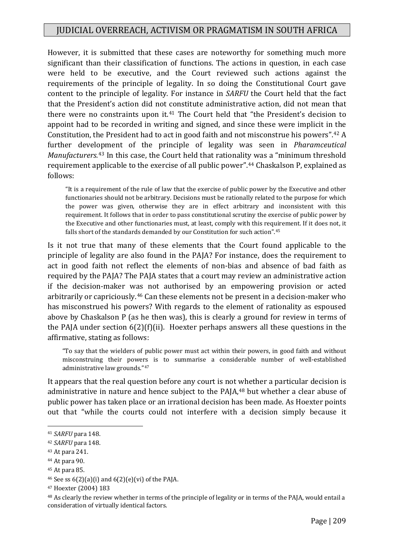However, it is submitted that these cases are noteworthy for something much more significant than their classification of functions. The actions in question, in each case were held to be executive, and the Court reviewed such actions against the requirements of the principle of legality. In so doing the Constitutional Court gave content to the principle of legality. For instance in *SARFU* the Court held that the fact that the President's action did not constitute administrative action, did not mean that there were no constraints upon it.<sup>[41](#page-8-0)</sup> The Court held that "the President's decision to appoint had to be recorded in writing and signed, and since these were implicit in [th](#page-8-1)e Constitution, the President had to act in good faith and not misconstrue his powers". <sup>42</sup> A further devel[op](#page-8-2)ment of the principle of legality was seen in *Pharamceutical Manufacturers.* <sup>43</sup> In this case, the Court held that rationality was a "minimum threshold requirement applicable to the exercise of all public power".[44](#page-8-3) Chaskalson P, explained as follows:

"It is a requirement of the rule of law that the exercise of public power by the Executive and other functionaries should not be arbitrary. Decisions must be rationally related to the purpose for which the power was given, otherwise they are in effect arbitrary and inconsistent with this requirement. It follows that in order to pass constitutional scrutiny the exercise of public power by the Executive and other functionaries must, at least, comply with this req[uir](#page-8-4)ement. If it does not, it falls short of the standards demanded by our Constitution for such action". 45

Is it not true that many of these elements that the Court found applicable to the principle of legality are also found in the PAJA? For instance, does the requirement to act in good faith not reflect the elements of non-bias and absence of bad faith as required by the PAJA? The PAJA states that a court may review an administrative action if the decision-maker was not authorised by an empowering provision or acted arbitrarily or capriciously.[46](#page-8-5) Can these elements not be present in a decision-maker who has misconstrued his powers? With regards to the element of rationality as espoused above by Chaskalson P (as he then was), this is clearly a ground for review in terms of the PAJA under section 6(2)(f)(ii). Hoexter perhaps answers all these questions in the affirmative, stating as follows:

"To say that the wielders of public power must act within their powers, in good faith and without misconstruing their powe[rs](#page-8-6) is to summarise a considerable number of well-established administrative law grounds."47

It appears that the real question before any court is not whether a particular decision is administrative in nature and hence subject to the PAJA,<sup>[48](#page-8-7)</sup> but whether a clear abuse of public power has taken place or an irrational decision has been made. As Hoexter points out that "while the courts could not interfere with a decision simply because it

<span id="page-8-0"></span><sup>41</sup> *SARFU* para 148.

<span id="page-8-1"></span><sup>42</sup> *SARFU* para 148.

<span id="page-8-2"></span><sup>43</sup> At para 241.

<span id="page-8-3"></span><sup>44</sup> At para 90.

<span id="page-8-4"></span><sup>45</sup> At para 85.

<span id="page-8-5"></span><sup>&</sup>lt;sup>46</sup> See ss  $6(2)(a)(i)$  and  $6(2)(e)(vi)$  of the PAJA.

<span id="page-8-6"></span><sup>47</sup> Hoexter (2004) 183

<span id="page-8-7"></span><sup>48</sup> As clearly the review whether in terms of the principle of legality or in terms of the PAJA, would entail a consideration of virtually identical factors.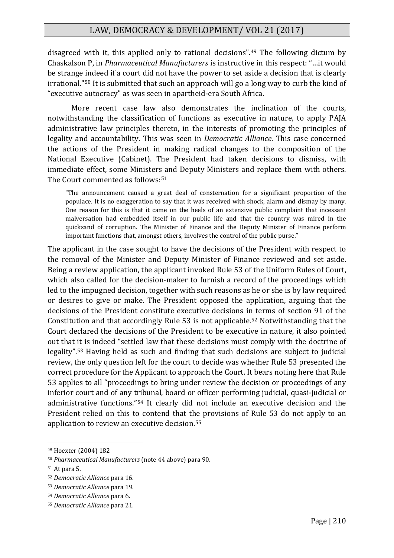disagreed with it, this applied only to rational decisions". [49](#page-9-0) The following dictum by Chaskalson P, in *Pharmaceutical Manufacturers* is instructive in this respect: "…it would be strange indeed if a court did not have the power to set aside a decision that is clearly irrational."[50](#page-9-1) It is submitted that such an approach will go a long way to curb the kind of "executive autocracy" as was seen in apartheid-era South Africa.

More recent case law also demonstrates the inclination of the courts, notwithstanding the classification of functions as executive in nature, to apply PAJA administrative law principles thereto, in the interests of promoting the principles of legality and accountability. This was seen in *Democratic Alliance*. This case concerned the actions of the President in making radical changes to the composition of the National Executive (Cabinet). The President had taken decisions to dismiss, with immediate effect, some Ministers and Deputy Ministers and replace them with others. The Court commented as follows:<sup>[51](#page-9-2)</sup>

"The announcement caused a great deal of consternation for a significant proportion of the populace. It is no exaggeration to say that it was received with shock, alarm and dismay by many. One reason for this is that it came on the heels of an extensive public complaint that incessant malversation had embedded itself in our public life and that the country was mired in the quicksand of corruption. The Minister of Finance and the Deputy Minister of Finance perform important functions that, amongst others, involves the control of the public purse."

The applicant in the case sought to have the decisions of the President with respect to the removal of the Minister and Deputy Minister of Finance reviewed and set aside. Being a review application, the applicant invoked Rule 53 of the Uniform Rules of Court, which also called for the decision-maker to furnish a record of the proceedings which led to the impugned decision, together with such reasons as he or she is by law required or desires to give or make. The President opposed the application, arguing that the decisions of the President constitute executive decisions in terms of section 91 of the Constitution and that accordingly Rule 53 is not applicable.[52](#page-9-3) Notwithstanding that the Court declared the decisions of the President to be executive in nature, it also pointed out that [it](#page-9-4) is indeed "settled law that these decisions must comply with the doctrine of legality". <sup>53</sup> Having held as such and finding that such decisions are subject to judicial review, the only question left for the court to decide was whether Rule 53 presented the correct procedure for the Applicant to approach the Court. It bears noting here that Rule 53 applies to all "proceedings to bring under review the decision or proceedings of any inferior court and of any tribunal, board or officer performing judicial, quasi-judicial or administrative functions."[54](#page-9-5) It clearly did not include an executive decision and the President relied on this to contend that the provisions of Rule 53 do not apply to an application to review an executive decision.[55](#page-9-6)

<span id="page-9-0"></span><sup>49</sup> Hoexter (2004) 182

<span id="page-9-1"></span><sup>50</sup> *Pharmaceutical Manufacturers* (note 44 above) para 90.

<span id="page-9-2"></span><sup>51</sup> At para 5.

<span id="page-9-3"></span><sup>52</sup> *Democratic Alliance* para 16.

<span id="page-9-4"></span><sup>53</sup> *Democratic Alliance* para 19.

<span id="page-9-5"></span><sup>54</sup> *Democratic Alliance* para 6.

<span id="page-9-6"></span><sup>55</sup> *Democratic Alliance* para 21.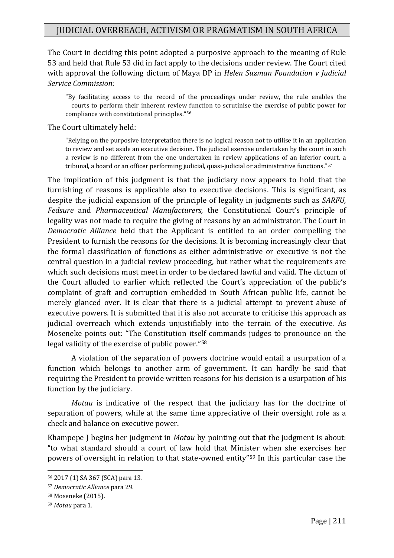The Court in deciding this point adopted a purposive approach to the meaning of Rule 53 and held that Rule 53 did in fact apply to the decisions under review. The Court cited with approval the following dictum of Maya DP in *Helen Suzman Foundation v Judicial Service Commission*:

"By facilitating access to the record of the proceedings under review, the rule enables the courts to perform their inherent review function to scrutinise the exercise of public power for compliance with constitutional principles."[56](#page-10-0)

The Court ultimately held:

"Relying on the purposive interpretation there is no logical reason not to utilise it in an application to review and set aside an executive decision. The judicial exercise undertaken by the court in such a review is no different from the one undertaken in review applications of an inferior c[ou](#page-10-1)rt, a tribunal, a board or an officer performing judicial, quasi-judicial or administrative functions."57

The implication of this judgment is that the judiciary now appears to hold that the furnishing of reasons is applicable also to executive decisions. This is significant, as despite the judicial expansion of the principle of legality in judgments such as *SARFU, Fedsure* and *Pharmaceutical Manufacturers,* the Constitutional Court's principle of legality was not made to require the giving of reasons by an administrator. The Court in *Democratic Alliance* held that the Applicant is entitled to an order compelling the President to furnish the reasons for the decisions. It is becoming increasingly clear that the formal classification of functions as either administrative or executive is not the central question in a judicial review proceeding, but rather what the requirements are which such decisions must meet in order to be declared lawful and valid. The dictum of the Court alluded to earlier which reflected the Court's appreciation of the public's complaint of graft and corruption embedded in South African public life, cannot be merely glanced over. It is clear that there is a judicial attempt to prevent abuse of executive powers. It is submitted that it is also not accurate to criticise this approach as judicial overreach which extends unjustifiably into the terrain of the executive. As Moseneke points out: "The Constitution itself commands judges to pronounce on the legal validity of the exercise of public power."[58](#page-10-2)

A violation of the separation of powers doctrine would entail a usurpation of a function which belongs to another arm of government. It can hardly be said that requiring the President to provide written reasons for his decision is a usurpation of his function by the judiciary.

*Motau* is indicative of the respect that the judiciary has for the doctrine of separation of powers, while at the same time appreciative of their oversight role as a check and balance on executive power.

Khampepe J begins her judgment in *Motau* by pointing out that the judgment is about: "to what standard should a court of law hold that Minister when she exercises her powers of oversight in relation to that state-owned entity"[59](#page-10-3) In this particular case the

<span id="page-10-0"></span><sup>56</sup> 2017 (1) SA 367 (SCA) para 13.

<span id="page-10-1"></span><sup>57</sup> *Democratic Alliance* para 29.

<span id="page-10-2"></span><sup>58</sup> Moseneke (2015).

<span id="page-10-3"></span><sup>59</sup> *Motau* para 1.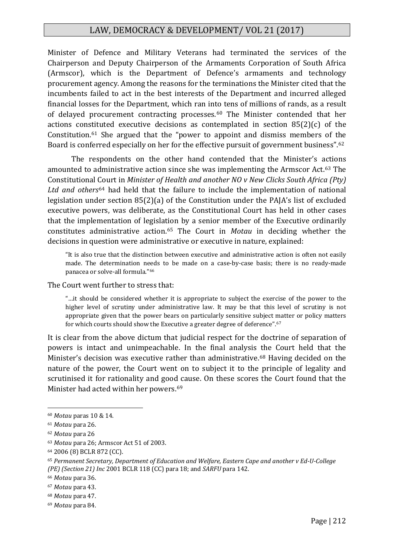Minister of Defence and Military Veterans had terminated the services of the Chairperson and Deputy Chairperson of the Armaments Corporation of South Africa (Armscor), which is the Department of Defence's armaments and technology procurement agency. Among the reasons for the terminations the Minister cited that the incumbents failed to act in the best interests of the Department and incurred alleged financial losses for the Department, which ran into tens of millions of rands, as a result of delayed procurement contracting processes.[60](#page-11-0) The Minister contended that her actions constituted executive decisions as contemplated in section 85(2)(c) of the Constitution[.61](#page-11-1) She argued that the "power to appoint and dismiss members of t[he](#page-11-2) Board is conferred especially on her for the effective pursuit of government business".<sup>62</sup>

The respondents on the other hand contended that the Minister's actions amounted to administrative action since she was implementing the Armscor Act.[63](#page-11-3) The Constitutional [Co](#page-11-4)urt in *Minister of Health and another NO v New Clicks South Africa (Pty) Ltd and others*<sup>64</sup> had held that the failure to include the implementation of national legislation under section 85(2)(a) of the Constitution under the PAJA's list of excluded executive powers, was deliberate, as the Constitutional Court has held in other cases that the implementation of legislation by a senior member of the Executive ordinarily constitutes administrative action.[65](#page-11-5) The Court in *Motau* in deciding whether the decisions in question were administrative or executive in nature, explained:

"It is also true that the distinction between executive and administrative action is often not easily made. The determination needs to be made on a case-by-case basis; there is no ready-made panacea or solve-all formula."[66](#page-11-6)

The Court went further to stress that:

"…it should be considered whether it is appropriate to subject the exercise of the power to the higher level of scrutiny under administrative law. It may be that this level of scrutiny is not appropriate given that the power bears on particularly sensitive subject matter or policy matters for which courts should show the Executive a greater degree of deference".[67](#page-11-7)

It is clear from the above dictum that judicial respect for the doctrine of separation of powers is intact and unimpeachable. In the final analysis the Court held that the Minister's decision was executive rather than administrative.<sup>[68](#page-11-8)</sup> Having decided on the nature of the power, the Court went on to subject it to the principle of legality and scrutinised it for rationality and good cause. On these scores the Court found that the Minister had acted within her powers.<sup>[69](#page-11-9)</sup>

<span id="page-11-0"></span><sup>60</sup> *Motau* paras 10 & 14.

<span id="page-11-1"></span><sup>61</sup> *Motau* para 26.

<span id="page-11-2"></span><sup>62</sup> *Motau* para 26

<span id="page-11-3"></span><sup>63</sup> *Motau* para 26; Armscor Act 51 of 2003.

<span id="page-11-4"></span><sup>64</sup> 2006 (8) BCLR 872 (CC).

<span id="page-11-5"></span><sup>65</sup> *Permanent Secretary, Department of Education and Welfare, Eastern Cape and another v Ed-U-College (PE) (Section 21) Inc* 2001 BCLR 118 (CC) para 18; and *SARFU* para 142.

<span id="page-11-6"></span><sup>66</sup> *Motau* para 36.

<span id="page-11-7"></span><sup>67</sup> *Motau* para 43.

<span id="page-11-8"></span><sup>68</sup> *Motau* para 47.

<span id="page-11-9"></span><sup>69</sup> *Motau* para 84.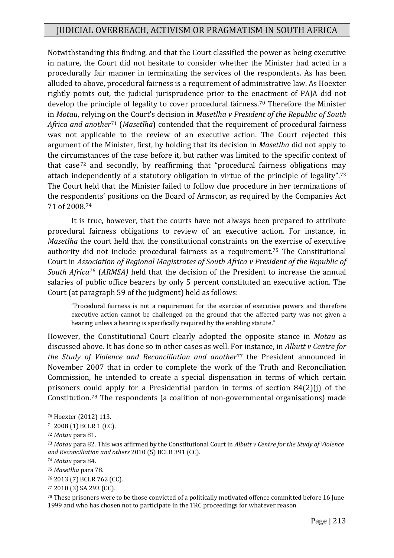Notwithstanding this finding, and that the Court classified the power as being executive in nature, the Court did not hesitate to consider whether the Minister had acted in a procedurally fair manner in terminating the services of the respondents. As has been alluded to above, procedural fairness is a requirement of administrative law. As Hoexter rightly points out, the judicial jurisprudence prior to the enactment of PAJA did not develop the principle of legality to cover procedural fairness.[70](#page-12-0) Therefore the Minister in *Motau*, relying [on](#page-12-1) the Court's decision in *Masetlha v President of the Republic of South Africa and another*<sup>71</sup> (*Masetlha*) contended that the requirement of procedural fairness was not applicable to the review of an executive action. The Court rejected this argument of the Minister, first, by holding that its decision in *Masetlha* did not apply to the circumstances of the case before it, but rather was limited to the specific context of that case[72](#page-12-2) and secondly, by reaffirming that "procedural fairness obligations may attach independently of a statutory obligation in virtue of the principle of legality".[73](#page-12-3) The Court held that the Minister failed to follow due procedure in her terminations of the respondents' positions on the Board of Armscor, as required by the Companies Act 71 of 2008.[74](#page-12-4)

It is true, however, that the courts have not always been prepared to attribute procedural fairness obligations to review of an executive action. For instance, in *Masetlha* the court held that the constitutional constraints on the exercise of executive authority did not include procedural fairness as a requirement.[75](#page-12-5) The Constitutional Court in *Ass[oci](#page-12-6)ation of Regional Magistrates of South Africa v President of the Republic of South Africa*<sup>76</sup> (*ARMSA)* held that the decision of the President to increase the annual salaries of public office bearers by only 5 percent constituted an executive action. The Court (at paragraph 59 of the judgment) held as follows:

"Procedural fairness is not a requirement for the exercise of executive powers and therefore executive action cannot be challenged on the ground that the affected party was not given a hearing unless a hearing is specifically required by the enabling statute."

However, the Constitutional Court clearly adopted the opposite stance in *Motau* as discussed above. It has done so in other cases as well. F[or](#page-12-7) instance, in *Albutt v Centre for the Study of Violence and Reconciliation and another*<sup>77</sup> the President announced in November 2007 that in order to complete the work of the Truth and Reconciliation Commission, he intended to create a special dispensation in terms of which certain prisoners could apply for a Presidential pardon in terms of section 84(2)(j) of the Constitution[.78](#page-12-8) The respondents (a coalition of non-governmental organisations) made

<span id="page-12-0"></span><sup>70</sup> Hoexter (2012) 113.

<span id="page-12-1"></span><sup>71</sup> 2008 (1) BCLR 1 (CC).

<span id="page-12-2"></span><sup>72</sup> *Motau* para 81.

<span id="page-12-3"></span><sup>73</sup> *Motau* para 82. This was affirmed by the Constitutional Court in *Albutt v Centre for the Study of Violence and Reconciliation and others* 2010 (5) BCLR 391 (CC).

<span id="page-12-4"></span><sup>74</sup> *Motau* para 84.

<span id="page-12-5"></span><sup>75</sup> *Masetlha* para 78.

<span id="page-12-6"></span><sup>76</sup> 2013 (7) BCLR 762 (CC).

<span id="page-12-7"></span><sup>77</sup> 2010 (3) SA 293 (CC).

<span id="page-12-8"></span><sup>78</sup> These prisoners were to be those convicted of a politically motivated offence committed before 16 June 1999 and who has chosen not to participate in the TRC proceedings for whatever reason.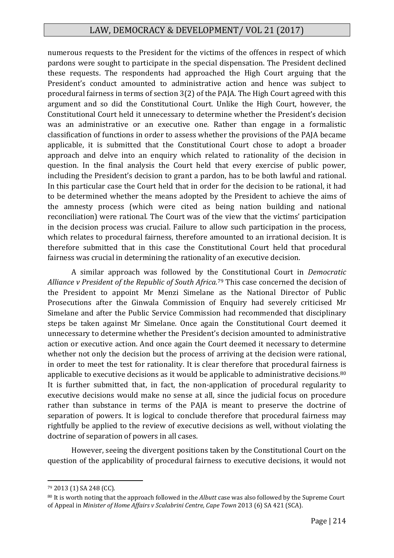numerous requests to the President for the victims of the offences in respect of which pardons were sought to participate in the special dispensation. The President declined these requests. The respondents had approached the High Court arguing that the President's conduct amounted to administrative action and hence was subject to procedural fairness in terms of section 3(2) of the PAJA. The High Court agreed with this argument and so did the Constitutional Court. Unlike the High Court, however, the Constitutional Court held it unnecessary to determine whether the President's decision was an administrative or an executive one. Rather than engage in a formalistic classification of functions in order to assess whether the provisions of the PAJA became applicable, it is submitted that the Constitutional Court chose to adopt a broader approach and delve into an enquiry which related to rationality of the decision in question. In the final analysis the Court held that every exercise of public power, including the President's decision to grant a pardon, has to be both lawful and rational. In this particular case the Court held that in order for the decision to be rational, it had to be determined whether the means adopted by the President to achieve the aims of the amnesty process (which were cited as being nation building and national reconciliation) were rational. The Court was of the view that the victims' participation in the decision process was crucial. Failure to allow such participation in the process, which relates to procedural fairness, therefore amounted to an irrational decision. It is therefore submitted that in this case the Constitutional Court held that procedural fairness was crucial in determining the rationality of an executive decision.

A similar approach was followed by th[e C](#page-13-0)onstitutional Court in *Democratic Alliance v President of the Republic of South Africa.*<sup>79</sup> This case concerned the decision of the President to appoint Mr Menzi Simelane as the National Director of Public Prosecutions after the Ginwala Commission of Enquiry had severely criticised Mr Simelane and after the Public Service Commission had recommended that disciplinary steps be taken against Mr Simelane. Once again the Constitutional Court deemed it unnecessary to determine whether the President's decision amounted to administrative action or executive action. And once again the Court deemed it necessary to determine whether not only the decision but the process of arriving at the decision were rational, in order to meet the test for rationality. It is clear therefore that procedural fairness is applicable to executive decisions as it would be applicable to administrative decisions.<sup>[80](#page-13-1)</sup> It is further submitted that, in fact, the non-application of procedural regularity to executive decisions would make no sense at all, since the judicial focus on procedure rather than substance in terms of the PAJA is meant to preserve the doctrine of separation of powers. It is logical to conclude therefore that procedural fairness may rightfully be applied to the review of executive decisions as well, without violating the doctrine of separation of powers in all cases.

However, seeing the divergent positions taken by the Constitutional Court on the question of the applicability of procedural fairness to executive decisions, it would not

<span id="page-13-0"></span><sup>79</sup> 2013 (1) SA 248 (CC).

<span id="page-13-1"></span><sup>80</sup> It is worth noting that the approach followed in the *Albutt* case was also followed by the Supreme Court of Appeal in *Minister of Home Affairs v Scalabrini Centre, Cape Town* 2013 (6) SA 421 (SCA).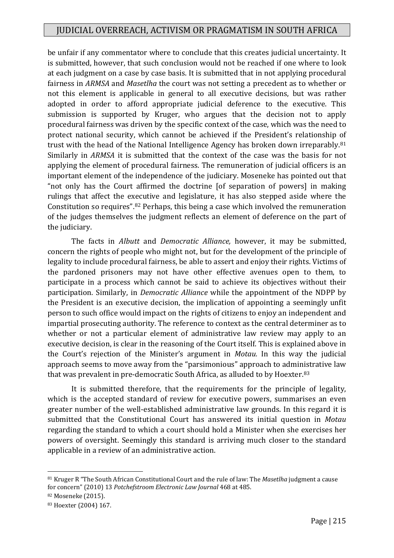be unfair if any commentator where to conclude that this creates judicial uncertainty. It is submitted, however, that such conclusion would not be reached if one where to look at each judgment on a case by case basis. It is submitted that in not applying procedural fairness in *ARMSA* and *Masetlha* the court was not setting a precedent as to whether or not this element is applicable in general to all executive decisions, but was rather adopted in order to afford appropriate judicial deference to the executive. This submission is supported by Kruger, who argues that the decision not to apply procedural fairness was driven by the specific context of the case, which was the need to protect national security, which cannot be achieved if the President's relationship of trust with the head of the National Intelligence Agency has broken down irreparably.[81](#page-14-0) Similarly in *ARMSA* it is submitted that the context of the case was the basis for not applying the element of procedural fairness. The remuneration of judicial officers is an important element of the independence of the judiciary. Moseneke has pointed out that "not only has the Court affirmed the doctrine [of separation of powers] in making rulings that affect the e[xec](#page-14-1)utive and legislature, it has also stepped aside where the Constitution so requires". <sup>82</sup> Perhaps, this being a case which involved the remuneration of the judges themselves the judgment reflects an element of deference on the part of the judiciary.

The facts in *Albutt* and *Democratic Alliance,* however, it may be submitted, concern the rights of people who might not, but for the development of the principle of legality to include procedural fairness, be able to assert and enjoy their rights. Victims of the pardoned prisoners may not have other effective avenues open to them, to participate in a process which cannot be said to achieve its objectives without their participation. Similarly, in *Democratic Alliance* while the appointment of the NDPP by the President is an executive decision, the implication of appointing a seemingly unfit person to such office would impact on the rights of citizens to enjoy an independent and impartial prosecuting authority. The reference to context as the central determiner as to whether or not a particular element of administrative law review may apply to an executive decision, is clear in the reasoning of the Court itself. This is explained above in the Court's rejection of the Minister's argument in *Motau.* In this way the judicial approach seems to move away from the "parsimonious" approach to administrative law that was prevalent in pre-democratic South Africa, as alluded to by Hoexter.[83](#page-14-2)

It is submitted therefore, that the requirements for the principle of legality, which is the accepted standard of review for executive powers, summarises an even greater number of the well-established administrative law grounds. In this regard it is submitted that the Constitutional Court has answered its initial question in *Motau* regarding the standard to which a court should hold a Minister when she exercises her powers of oversight. Seemingly this standard is arriving much closer to the standard applicable in a review of an administrative action.

<span id="page-14-1"></span><sup>82</sup> Moseneke (2015).

<span id="page-14-0"></span><sup>81</sup> Kruger R "The South African Constitutional Court and the rule of law: The *Masetlha* judgment a cause for concern" (2010) 13 *Potchefstroom Electronic Law Journal* 468 at 485.

<span id="page-14-2"></span><sup>83</sup> Hoexter (2004) 167.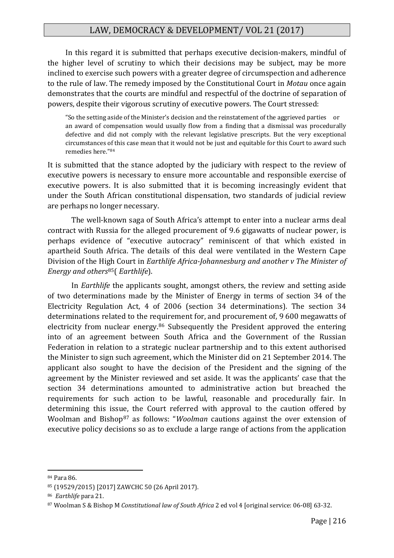In this regard it is submitted that perhaps executive decision-makers, mindful of the higher level of scrutiny to which their decisions may be subject, may be more inclined to exercise such powers with a greater degree of circumspection and adherence to the rule of law. The remedy imposed by the Constitutional Court in *Motau* once again demonstrates that the courts are mindful and respectful of the doctrine of separation of powers, despite their vigorous scrutiny of executive powers. The Court stressed:

"So the setting aside of the Minister's decision and the reinstatement of the aggrieved parties or an award of compensation would usually flow from a finding that a dismissal was procedurally defective and did not comply with the relevant legislative prescripts. But the very exceptional circumstances of this case mean that it would not be just and equitable for this Court to award such remedies here."[84](#page-15-0)

It is submitted that the stance adopted by the judiciary with respect to the review of executive powers is necessary to ensure more accountable and responsible exercise of executive powers. It is also submitted that it is becoming increasingly evident that under the South African constitutional dispensation, two standards of judicial review are perhaps no longer necessary.

The well-known saga of South Africa's attempt to enter into a nuclear arms deal contract with Russia for the alleged procurement of 9.6 gigawatts of nuclear power, is perhaps evidence of "executive autocracy" reminiscent of that which existed in apartheid South Africa. The details of this deal were ventilated in the Western Cape Division of the High Court in *Earthlife Africa-Johannesburg and another v The Minister of Energy and others*[85\(](#page-15-1) *Earthlife*).

In *Earthlife* the applicants sought, amongst others, the review and setting aside of two determinations made by the Minister of Energy in terms of section 34 of the Electricity Regulation Act, 4 of 2006 (section 34 determinations). The section 34 determinations related to the requirement for, and procurement of, 9 600 megawatts of electricity from nuclear energy.<sup>[86](#page-15-2)</sup> Subsequently the President approved the entering into of an agreement between South Africa and the Government of the Russian Federation in relation to a strategic nuclear partnership and to this extent authorised the Minister to sign such agreement, which the Minister did on 21 September 2014. The applicant also sought to have the decision of the President and the signing of the agreement by the Minister reviewed and set aside. It was the applicants' case that the section 34 determinations amounted to administrative action but breached the requirements for such action to be lawful, reasonable and procedurally fair. In determining this issue, the Court referred with approval to the caution offered by Woolman and Bisho[p87](#page-15-3) as follows: "*Woolman* cautions against the over extension of executive policy decisions so as to exclude a large range of actions from the application

<span id="page-15-0"></span><sup>84</sup> Para 86. <u>.</u>

<span id="page-15-1"></span><sup>85</sup> (19529/2015) [2017] ZAWCHC 50 (26 April 2017).

<span id="page-15-2"></span><sup>86</sup> *Earthlife* para 21.

<span id="page-15-3"></span><sup>87</sup> Woolman S & Bishop M *Constitutional law of South Africa* 2 ed vol 4 [original service: 06-08] 63-32.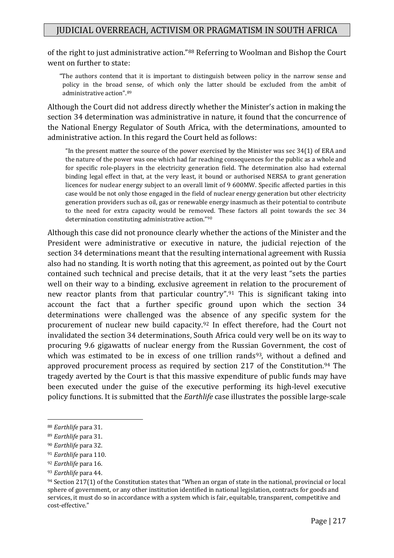of the right to just administrative action."[88](#page-16-0) Referring to Woolman and Bishop the Court went on further to state:

 "The authors contend that it is important to distinguish between policy in the narrow sense and policy in the broad [se](#page-16-1)nse, of which only the latter should be excluded from the ambit of administrative action". 89

Although the Court did not address directly whether the Minister's action in making the section 34 determination was administrative in nature, it found that the concurrence of the National Energy Regulator of South Africa, with the determinations, amounted to administrative action. In this regard the Court held as follows:

"In the present matter the source of the power exercised by the Minister was sec 34(1) of ERA and the nature of the power was one which had far reaching consequences for the public as a whole and for specific role-players in the electricity generation field. The determination also had external binding legal effect in that, at the very least, it bound or authorised NERSA to grant generation licences for nuclear energy subject to an overall limit of 9 600MW. Specific affected parties in this case would be not only those engaged in the field of nuclear energy generation but other electricity generation providers such as oil, gas or renewable energy inasmuch as their potential to contribute to the need for extra capacity would be removed. These factors all point towards the sec 34 determination constituting administrative action."[90](#page-16-2)

Although this case did not pronounce clearly whether the actions of the Minister and the President were administrative or executive in nature, the judicial rejection of the section 34 determinations meant that the resulting international agreement with Russia also had no standing. It is worth noting that this agreement, as pointed out by the Court contained such technical and precise details, that it at the very least "sets the parties well on their way to a binding, exclusive agreement [in](#page-16-3) relation to the procurement of new reactor plants from that particular country". <sup>91</sup> This is significant taking into account the fact that a further specific ground upon which the section 34 determinations were challenged was the absence of any specific system for the procurement of nuclear new build capacity.[92](#page-16-4) In effect therefore, had the Court not invalidated the section 34 determinations, South Africa could very well be on its way to procuring 9.6 gigawatts of nuclear energy from the Russian Government, the cost of which was estimated to be in excess of one trillion rands<sup>93</sup>, without a defined and approved procurement process as required by section 217 of the Constitution.<sup>[94](#page-16-6)</sup> The tragedy averted by the Court is that this massive expenditure of public funds may have been executed under the guise of the executive performing its high-level executive policy functions. It is submitted that the *Earthlife* case illustrates the possible large-scale

<span id="page-16-0"></span><sup>88</sup> *Earthlife* para 31.

<span id="page-16-1"></span><sup>89</sup> *Earthlife* para 31.

<span id="page-16-2"></span><sup>90</sup> *Earthlife* para 32.

<span id="page-16-3"></span><sup>91</sup> *Earthlife* para 110.

<span id="page-16-4"></span><sup>92</sup> *Earthlife* para 16.

<span id="page-16-5"></span><sup>93</sup> *Earthlife* para 44.

<span id="page-16-6"></span><sup>94</sup> Section 217(1) of the Constitution states that "When an organ of state in the national, provincial or local sphere of government, or any other institution identified in national legislation, contracts for goods and services, it must do so in accordance with a system which is fair, equitable, transparent, competitive and cost-effective."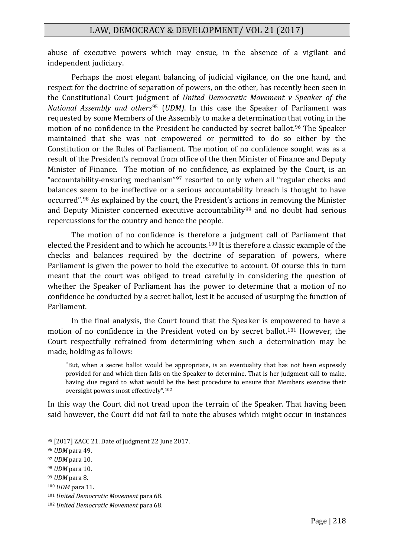abuse of executive powers which may ensue, in the absence of a vigilant and independent judiciary.

Perhaps the most elegant balancing of judicial vigilance, on the one hand, and respect for the doctrine of separation of powers, on the other, has recently been seen in the Constitutional Court judg[me](#page-17-0)nt of *United Democratic Movement v Speaker of the National Assembly and others*<sup>95</sup> (*UDM)*. In this case the Speaker of Parliament was requested by some Members of the Assembly to make a determination that voting in the motion of no confidence in the President be conducted by secret ballot.<sup>[96](#page-17-1)</sup> The Speaker maintained that she was not empowered or permitted to do so either by the Constitution or the Rules of Parliament. The motion of no confidence sought was as a result of the President's removal from office of the then Minister of Finance and Deputy Minister of Finance. The motion of no confidence, as explained by the Court, is an "accountability-ensuring mechanism"[97](#page-17-2) resorted to only when all "regular checks and balances [see](#page-17-3)m to be ineffective or a serious accountability breach is thought to have occurred". <sup>98</sup> As explained by the court, the President's actions in removing the Minister and Deputy Minister concerned executive accountability<sup>[99](#page-17-4)</sup> and no doubt had serious repercussions for the country and hence the people.

The motion of no confidence is therefore a judgment call of Parliament that elected the President and to which he accounts.[100](#page-17-5) It is therefore a classic example of the checks and balances required by the doctrine of separation of powers, where Parliament is given the power to hold the executive to account. Of course this in turn meant that the court was obliged to tread carefully in considering the question of whether the Speaker of Parliament has the power to determine that a motion of no confidence be conducted by a secret ballot, lest it be accused of usurping the function of Parliament.

In the final analysis, the Court found that the Speaker is empowered to have a motion of no confidence in the President voted on by secret ballot.[101](#page-17-6) However, the Court respectfully refrained from determining when such a determination may be made, holding as follows:

"But, when a secret ballot would be appropriate, is an eventuality that has not been expressly provided for and which then falls on the Speaker to determine. That is her judgment call to make, having due regard to what would be the best procedure to ensure that Members exercise their oversight powers most effectively".[102](#page-17-7)

In this way the Court did not tread upon the terrain of the Speaker. That having been said however, the Court did not fail to note the abuses which might occur in instances

<span id="page-17-0"></span><sup>95</sup> [2017] ZACC 21. Date of judgment 22 June 2017.

<span id="page-17-1"></span><sup>96</sup> *UDM* para 49.

<span id="page-17-2"></span><sup>97</sup> *UDM* para 10.

<span id="page-17-3"></span><sup>98</sup> *UDM* para 10.

<span id="page-17-4"></span><sup>99</sup> *UDM* para 8.

<span id="page-17-5"></span><sup>100</sup> *UDM* para 11.

<span id="page-17-6"></span><sup>101</sup> *United Democratic Movement* para 68.

<span id="page-17-7"></span><sup>102</sup> *United Democratic Movement* para 68.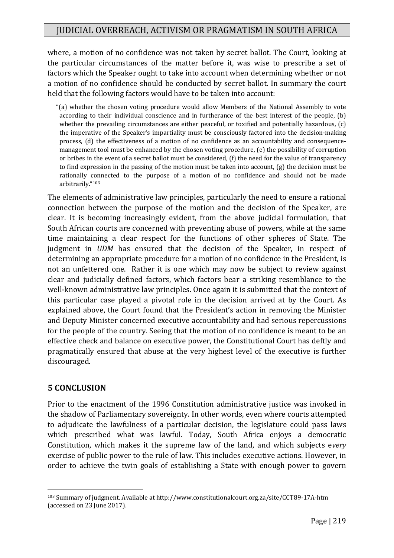where, a motion of no confidence was not taken by secret ballot. The Court, looking at the particular circumstances of the matter before it, was wise to prescribe a set of factors which the Speaker ought to take into account when determining whether or not a motion of no confidence should be conducted by secret ballot. In summary the court held that the following factors would have to be taken into account:

 "(a) whether the chosen voting procedure would allow Members of the National Assembly to vote according to their individual conscience and in furtherance of the best interest of the people, (b) whether the prevailing circumstances are either peaceful, or toxified and potentially hazardous, (c) the imperative of the Speaker's impartiality must be consciously factored into the decision-making process, (d) the effectiveness of a motion of no confidence as an accountability and consequencemanagement tool must be enhanced by the chosen voting procedure, (e) the possibility of corruption or bribes in the event of a secret ballot must be considered, (f) the need for the value of transparency to find expression in the passing of the motion must be taken into account, (g) the decision must be rationally connected to the purpose of a motion of no confidence and should not be made arbitrarily."[103](#page-18-0)

The elements of administrative law principles, particularly the need to ensure a rational connection between the purpose of the motion and the decision of the Speaker, are clear. It is becoming increasingly evident, from the above judicial formulation, that South African courts are concerned with preventing abuse of powers, while at the same time maintaining a clear respect for the functions of other spheres of State. The judgment in *UDM* has ensured that the decision of the Speaker, in respect of determining an appropriate procedure for a motion of no confidence in the President, is not an unfettered one. Rather it is one which may now be subject to review against clear and judicially defined factors, which factors bear a striking resemblance to the well-known administrative law principles. Once again it is submitted that the context of this particular case played a pivotal role in the decision arrived at by the Court. As explained above, the Court found that the President's action in removing the Minister and Deputy Minister concerned executive accountability and had serious repercussions for the people of the country. Seeing that the motion of no confidence is meant to be an effective check and balance on executive power, the Constitutional Court has deftly and pragmatically ensured that abuse at the very highest level of the executive is further discouraged.

# **5 CONCLUSION**

-

Prior to the enactment of the 1996 Constitution administrative justice was invoked in the shadow of Parliamentary sovereignty. In other words, even where courts attempted to adjudicate the lawfulness of a particular decision, the legislature could pass laws which prescribed what was lawful. Today, South Africa enjoys a democratic Constitution, which makes it the supreme law of the land, and which subjects e*very*  exercise of public power to the rule of law. This includes executive actions. However, in order to achieve the twin goals of establishing a State with enough power to govern

<span id="page-18-0"></span><sup>103</sup> Summary of judgment. Available at http://www.constitutionalcourt.org.za/site/CCT89-17A-htm (accessed on 23 June 2017).